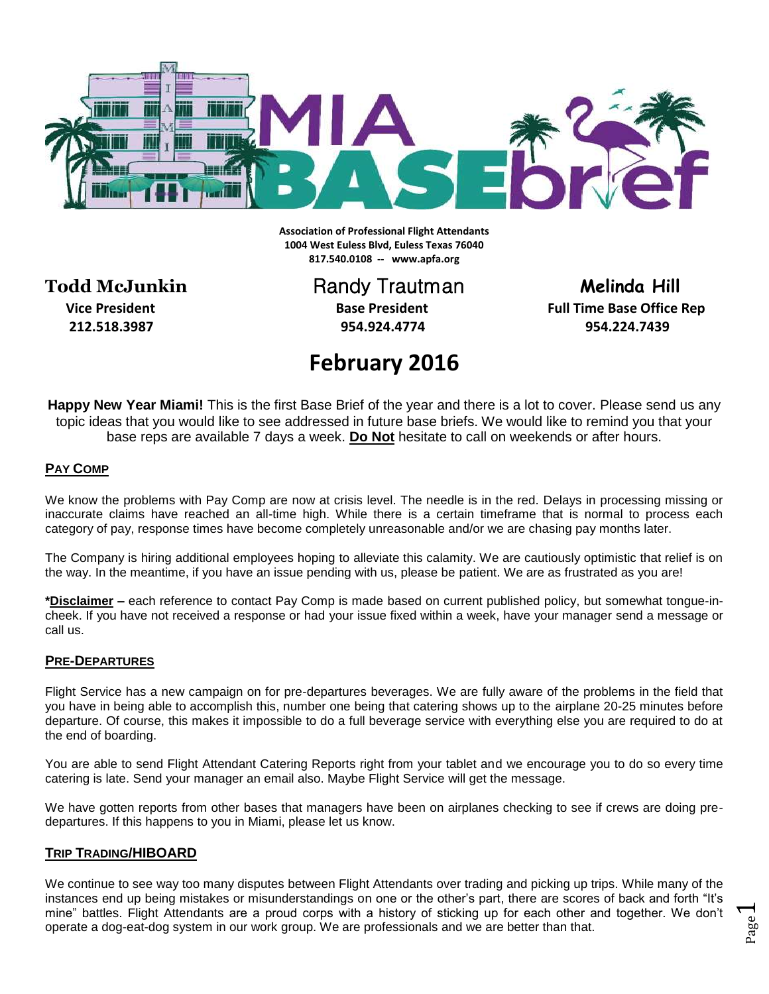

**Association of Professional Flight Attendants 1004 West Euless Blvd, Euless Texas 76040 817.540.0108 -- www.apfa.org**

**Todd McJunkin** Randy Trautman **Melinda Hill** 

 **212.518.3987 954.924.4774 954.224.7439**

**Vice President Construction Base President Full Time Base Office Rep Base Office Rep** 

# **February 2016**

**Happy New Year Miami!** This is the first Base Brief of the year and there is a lot to cover. Please send us any topic ideas that you would like to see addressed in future base briefs. We would like to remind you that your base reps are available 7 days a week. **Do Not** hesitate to call on weekends or after hours.

## **PAY COMP**

We know the problems with Pay Comp are now at crisis level. The needle is in the red. Delays in processing missing or inaccurate claims have reached an all-time high. While there is a certain timeframe that is normal to process each category of pay, response times have become completely unreasonable and/or we are chasing pay months later.

The Company is hiring additional employees hoping to alleviate this calamity. We are cautiously optimistic that relief is on the way. In the meantime, if you have an issue pending with us, please be patient. We are as frustrated as you are!

**\*Disclaimer –** each reference to contact Pay Comp is made based on current published policy, but somewhat tongue-incheek. If you have not received a response or had your issue fixed within a week, have your manager send a message or call us.

## **PRE-DEPARTURES**

Flight Service has a new campaign on for pre-departures beverages. We are fully aware of the problems in the field that you have in being able to accomplish this, number one being that catering shows up to the airplane 20-25 minutes before departure. Of course, this makes it impossible to do a full beverage service with everything else you are required to do at the end of boarding.

You are able to send Flight Attendant Catering Reports right from your tablet and we encourage you to do so every time catering is late. Send your manager an email also. Maybe Flight Service will get the message.

We have gotten reports from other bases that managers have been on airplanes checking to see if crews are doing predepartures. If this happens to you in Miami, please let us know.

## **TRIP TRADING/HIBOARD**

We continue to see way too many disputes between Flight Attendants over trading and picking up trips. While many of the instances end up being mistakes or misunderstandings on one or the other's part, there are scores of back and forth "It's mine" battles. Flight Attendants are a proud corps with a history of sticking up for each other and together. We don't operate a dog-eat-dog system in our work group. We are professionals and we are better than that.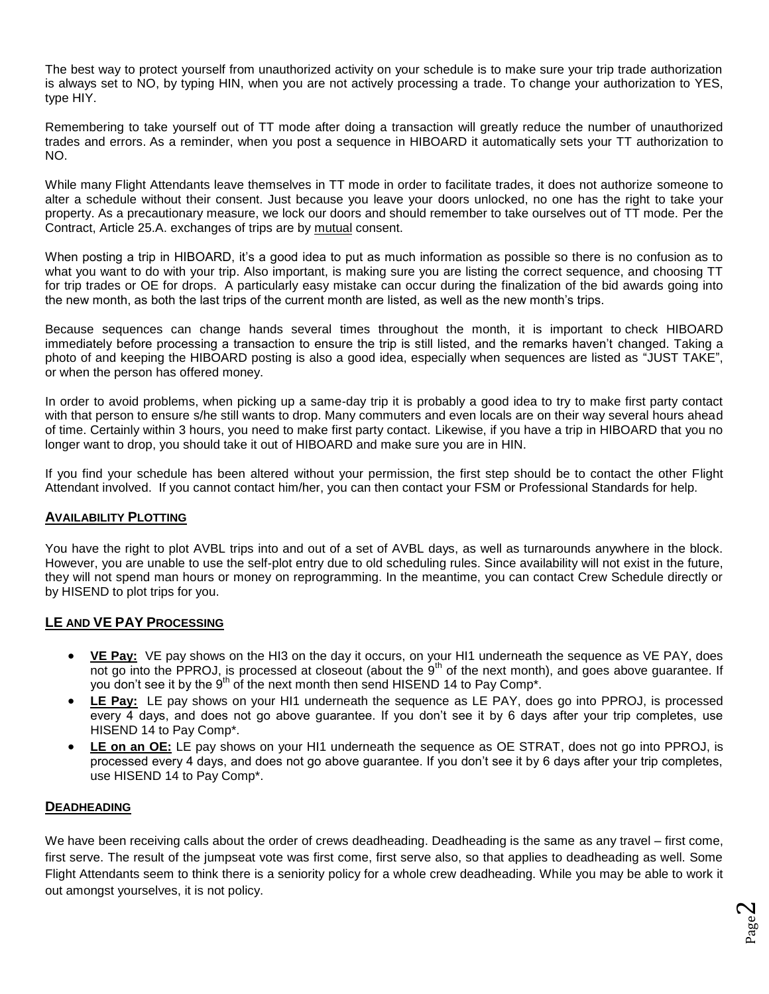The best way to protect yourself from unauthorized activity on your schedule is to make sure your trip trade authorization is always set to NO, by typing HIN, when you are not actively processing a trade. To change your authorization to YES, type HIY.

Remembering to take yourself out of TT mode after doing a transaction will greatly reduce the number of unauthorized trades and errors. As a reminder, when you post a sequence in HIBOARD it automatically sets your TT authorization to NO.

While many Flight Attendants leave themselves in TT mode in order to facilitate trades, it does not authorize someone to alter a schedule without their consent. Just because you leave your doors unlocked, no one has the right to take your property. As a precautionary measure, we lock our doors and should remember to take ourselves out of TT mode. Per the Contract, Article 25.A. exchanges of trips are by mutual consent.

When posting a trip in HIBOARD, it's a good idea to put as much information as possible so there is no confusion as to what you want to do with your trip. Also important, is making sure you are listing the correct sequence, and choosing TT for trip trades or OE for drops. A particularly easy mistake can occur during the finalization of the bid awards going into the new month, as both the last trips of the current month are listed, as well as the new month's trips.

Because sequences can change hands several times throughout the month, it is important to check HIBOARD immediately before processing a transaction to ensure the trip is still listed, and the remarks haven't changed. Taking a photo of and keeping the HIBOARD posting is also a good idea, especially when sequences are listed as "JUST TAKE", or when the person has offered money.

In order to avoid problems, when picking up a same-day trip it is probably a good idea to try to make first party contact with that person to ensure s/he still wants to drop. Many commuters and even locals are on their way several hours ahead of time. Certainly within 3 hours, you need to make first party contact. Likewise, if you have a trip in HIBOARD that you no longer want to drop, you should take it out of HIBOARD and make sure you are in HIN.

If you find your schedule has been altered without your permission, the first step should be to contact the other Flight Attendant involved. If you cannot contact him/her, you can then contact your FSM or Professional Standards for help.

## **AVAILABILITY PLOTTING**

You have the right to plot AVBL trips into and out of a set of AVBL days, as well as turnarounds anywhere in the block. However, you are unable to use the self-plot entry due to old scheduling rules. Since availability will not exist in the future, they will not spend man hours or money on reprogramming. In the meantime, you can contact Crew Schedule directly or by HISEND to plot trips for you.

## **LE AND VE PAY PROCESSING**

- **VE Pay:** VE pay shows on the HI3 on the day it occurs, on your HI1 underneath the sequence as VE PAY, does not go into the PPROJ, is processed at closeout (about the  $9<sup>th</sup>$  of the next month), and goes above guarantee. If you don't see it by the  $9<sup>th</sup>$  of the next month then send HISEND 14 to Pay Comp<sup>\*</sup>.
- **LE Pay:** LE pay shows on your HI1 underneath the sequence as LE PAY, does go into PPROJ, is processed every 4 days, and does not go above guarantee. If you don't see it by 6 days after your trip completes, use HISEND 14 to Pay Comp\*.
- **LE on an OE:** LE pay shows on your HI1 underneath the sequence as OE STRAT, does not go into PPROJ, is processed every 4 days, and does not go above guarantee. If you don't see it by 6 days after your trip completes, use HISEND 14 to Pay Comp\*.

#### **DEADHEADING**

We have been receiving calls about the order of crews deadheading. Deadheading is the same as any travel – first come, first serve. The result of the jumpseat vote was first come, first serve also, so that applies to deadheading as well. Some Flight Attendants seem to think there is a seniority policy for a whole crew deadheading. While you may be able to work it out amongst yourselves, it is not policy.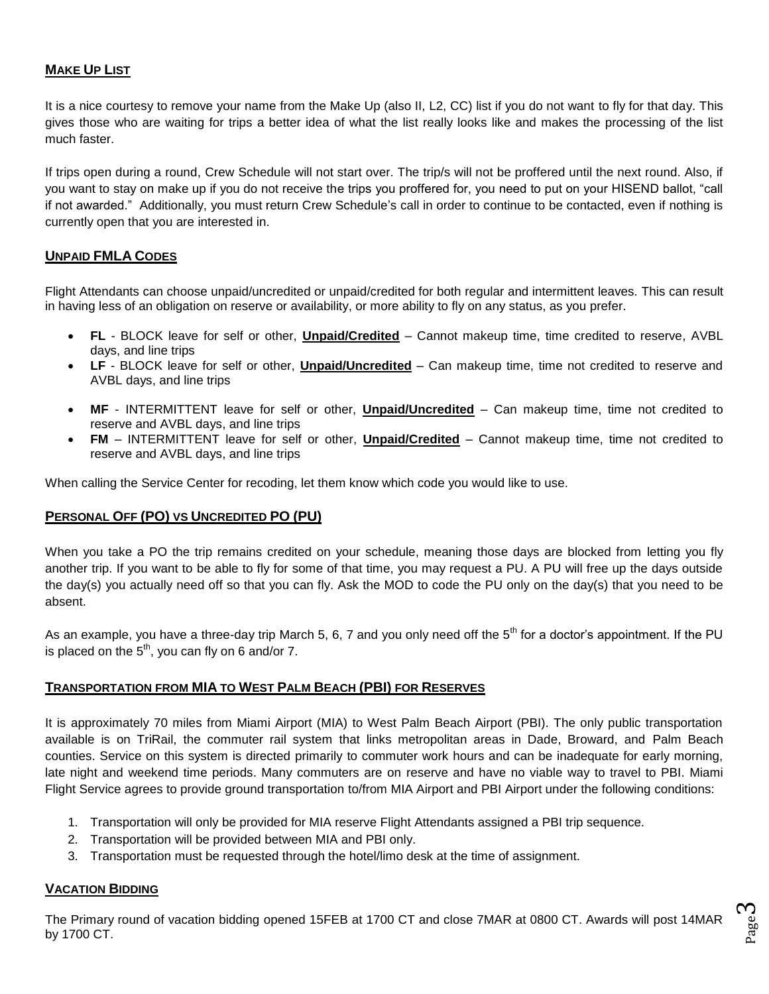## **MAKE UP LIST**

It is a nice courtesy to remove your name from the Make Up (also II, L2, CC) list if you do not want to fly for that day. This gives those who are waiting for trips a better idea of what the list really looks like and makes the processing of the list much faster.

If trips open during a round, Crew Schedule will not start over. The trip/s will not be proffered until the next round. Also, if you want to stay on make up if you do not receive the trips you proffered for, you need to put on your HISEND ballot, "call if not awarded." Additionally, you must return Crew Schedule's call in order to continue to be contacted, even if nothing is currently open that you are interested in.

## **UNPAID FMLA CODES**

Flight Attendants can choose unpaid/uncredited or unpaid/credited for both regular and intermittent leaves. This can result in having less of an obligation on reserve or availability, or more ability to fly on any status, as you prefer.

- **FL** BLOCK leave for self or other, **Unpaid/Credited** Cannot makeup time, time credited to reserve, AVBL days, and line trips
- **LF** BLOCK leave for self or other, **Unpaid/Uncredited** Can makeup time, time not credited to reserve and AVBL days, and line trips
- **MF** INTERMITTENT leave for self or other, **Unpaid/Uncredited** Can makeup time, time not credited to reserve and AVBL days, and line trips
- **FM** INTERMITTENT leave for self or other, **Unpaid/Credited** Cannot makeup time, time not credited to reserve and AVBL days, and line trips

When calling the Service Center for recoding, let them know which code you would like to use.

## **PERSONAL OFF (PO) VS UNCREDITED PO (PU)**

When you take a PO the trip remains credited on your schedule, meaning those days are blocked from letting you fly another trip. If you want to be able to fly for some of that time, you may request a PU. A PU will free up the days outside the day(s) you actually need off so that you can fly. Ask the MOD to code the PU only on the day(s) that you need to be absent.

As an example, you have a three-day trip March 5, 6, 7 and you only need off the  $5<sup>th</sup>$  for a doctor's appointment. If the PU is placed on the  $5<sup>th</sup>$ , you can fly on 6 and/or 7.

## **TRANSPORTATION FROM MIA TO WEST PALM BEACH (PBI) FOR RESERVES**

It is approximately 70 miles from Miami Airport (MIA) to West Palm Beach Airport (PBI). The only public transportation available is on TriRail, the commuter rail system that links metropolitan areas in Dade, Broward, and Palm Beach counties. Service on this system is directed primarily to commuter work hours and can be inadequate for early morning, late night and weekend time periods. Many commuters are on reserve and have no viable way to travel to PBI. Miami Flight Service agrees to provide ground transportation to/from MIA Airport and PBI Airport under the following conditions:

- 1. Transportation will only be provided for MIA reserve Flight Attendants assigned a PBI trip sequence.
- 2. Transportation will be provided between MIA and PBI only.
- 3. Transportation must be requested through the hotel/limo desk at the time of assignment.

## **VACATION BIDDING**

The Primary round of vacation bidding opened 15FEB at 1700 CT and close 7MAR at 0800 CT. Awards will post 14MAR by 1700 CT.